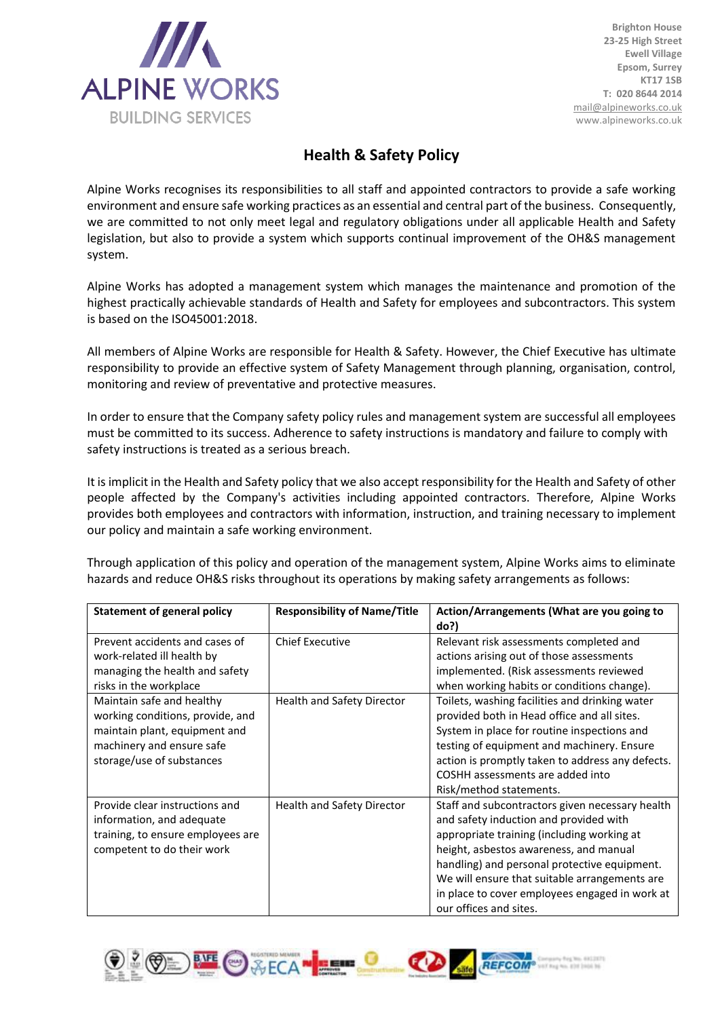

**Brighton House 23-25 High Street Ewell Village Epsom, Surrey KT17 1SB T: 020 8644 2014** [mail@alpineworks.co.uk](mailto:mail@alpineworks.co.uk) www.alpineworks.co.uk

## **Health & Safety Policy**

Alpine Works recognises its responsibilities to all staff and appointed contractors to provide a safe working environment and ensure safe working practices as an essential and central part of the business. Consequently, we are committed to not only meet legal and regulatory obligations under all applicable Health and Safety legislation, but also to provide a system which supports continual improvement of the OH&S management system.

Alpine Works has adopted a management system which manages the maintenance and promotion of the highest practically achievable standards of Health and Safety for employees and subcontractors. This system is based on the ISO45001:2018.

All members of Alpine Works are responsible for Health & Safety. However, the Chief Executive has ultimate responsibility to provide an effective system of Safety Management through planning, organisation, control, monitoring and review of preventative and protective measures.

In order to ensure that the Company safety policy rules and management system are successful all employees must be committed to its success. Adherence to safety instructions is mandatory and failure to comply with safety instructions is treated as a serious breach.

It is implicit in the Health and Safety policy that we also accept responsibility for the Health and Safety of other people affected by the Company's activities including appointed contractors. Therefore, Alpine Works provides both employees and contractors with information, instruction, and training necessary to implement our policy and maintain a safe working environment.

Through application of this policy and operation of the management system, Alpine Works aims to eliminate hazards and reduce OH&S risks throughout its operations by making safety arrangements as follows:

| <b>Statement of general policy</b>                                                                                                                       | <b>Responsibility of Name/Title</b> | Action/Arrangements (What are you going to<br>do?)                                                                                                                                                                                                                                                                                                             |
|----------------------------------------------------------------------------------------------------------------------------------------------------------|-------------------------------------|----------------------------------------------------------------------------------------------------------------------------------------------------------------------------------------------------------------------------------------------------------------------------------------------------------------------------------------------------------------|
| Prevent accidents and cases of<br>work-related ill health by<br>managing the health and safety<br>risks in the workplace                                 | <b>Chief Executive</b>              | Relevant risk assessments completed and<br>actions arising out of those assessments<br>implemented. (Risk assessments reviewed<br>when working habits or conditions change).                                                                                                                                                                                   |
| Maintain safe and healthy<br>working conditions, provide, and<br>maintain plant, equipment and<br>machinery and ensure safe<br>storage/use of substances | Health and Safety Director          | Toilets, washing facilities and drinking water<br>provided both in Head office and all sites.<br>System in place for routine inspections and<br>testing of equipment and machinery. Ensure<br>action is promptly taken to address any defects.<br>COSHH assessments are added into<br>Risk/method statements.                                                  |
| Provide clear instructions and<br>information, and adequate<br>training, to ensure employees are<br>competent to do their work                           | Health and Safety Director          | Staff and subcontractors given necessary health<br>and safety induction and provided with<br>appropriate training (including working at<br>height, asbestos awareness, and manual<br>handling) and personal protective equipment.<br>We will ensure that suitable arrangements are<br>in place to cover employees engaged in work at<br>our offices and sites. |